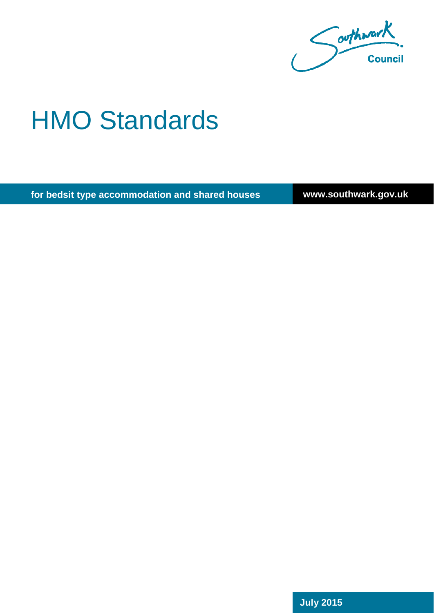Couthwark.

# HMO Standards

**for bedsit type accommodation and shared houses**

**www.southwark.gov.uk**

**July 2015**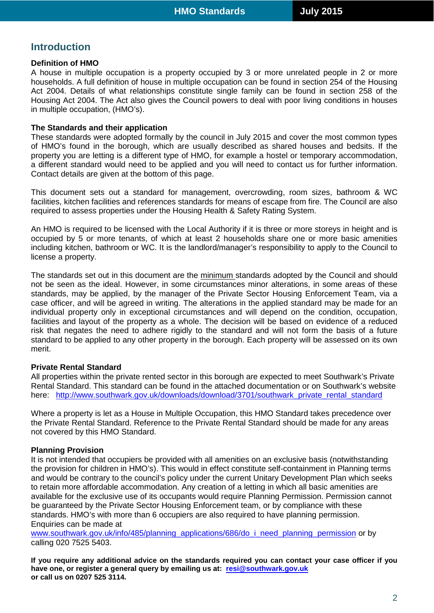## **Introduction**

## **Definition of HMO**

A house in multiple occupation is a property occupied by 3 or more unrelated people in 2 or more households. A full definition of house in multiple occupation can be found in section 254 of the Housing Act 2004. Details of what relationships constitute single family can be found in section 258 of the Housing Act 2004. The Act also gives the Council powers to deal with poor living conditions in houses in multiple occupation, (HMO's).

## **The Standards and their application**

These standards were adopted formally by the council in July 2015 and cover the most common types of HMO's found in the borough, which are usually described as shared houses and bedsits. If the property you are letting is a different type of HMO, for example a hostel or temporary accommodation, a different standard would need to be applied and you will need to contact us for further information. Contact details are given at the bottom of this page.

This document sets out a standard for management, overcrowding, room sizes, bathroom & WC facilities, kitchen facilities and references standards for means of escape from fire. The Council are also required to assess properties under the Housing Health & Safety Rating System.

An HMO is required to be licensed with the Local Authority if it is three or more storeys in height and is occupied by 5 or more tenants, of which at least 2 households share one or more basic amenities including kitchen, bathroom or WC. It is the landlord/manager's responsibility to apply to the Council to license a property.

The standards set out in this document are the minimum standards adopted by the Council and should not be seen as the ideal. However, in some circumstances minor alterations, in some areas of these standards, may be applied, by the manager of the Private Sector Housing Enforcement Team, via a case officer, and will be agreed in writing. The alterations in the applied standard may be made for an individual property only in exceptional circumstances and will depend on the condition, occupation, facilities and layout of the property as a whole. The decision will be based on evidence of a reduced risk that negates the need to adhere rigidly to the standard and will not form the basis of a future standard to be applied to any other property in the borough. Each property will be assessed on its own merit.

## **Private Rental Standard**

All properties within the private rented sector in this borough are expected to meet Southwark's Private Rental Standard. This standard can be found in the attached documentation or on Southwark's website here: [http://www.southwark.gov.uk/downloads/download/3701/southwark\\_private\\_rental\\_standard](http://www.southwark.gov.uk/downloads/download/3701/southwark_private_rental_standard)

Where a property is let as a House in Multiple Occupation, this HMO Standard takes precedence over the Private Rental Standard. Reference to the Private Rental Standard should be made for any areas not covered by this HMO Standard.

## **Planning Provision**

It is not intended that occupiers be provided with all amenities on an exclusive basis (notwithstanding the provision for children in HMO's). This would in effect constitute self-containment in Planning terms and would be contrary to the council's policy under the current Unitary Development Plan which seeks to retain more affordable accommodation. Any creation of a letting in which all basic amenities are available for the exclusive use of its occupants would require Planning Permission. Permission cannot be guaranteed by the Private Sector Housing Enforcement team, or by compliance with these standards. HMO's with more than 6 occupiers are also required to have planning permission. Enquiries can be made at

[www.southwark.gov.uk/info/485/planning\\_applications/686/do\\_i\\_need\\_planning\\_permission](http://www.southwark.gov.uk/info/485/planning_applications/686/do_i_need_planning_permission) or by calling 020 7525 5403.

**If you require any additional advice on the standards required you can contact your case officer if you have one, or register a general query by emailing us at: [resi@southwark.gov.uk](mailto:resi@southwark.gov.uk) or call us on 0207 525 3114.**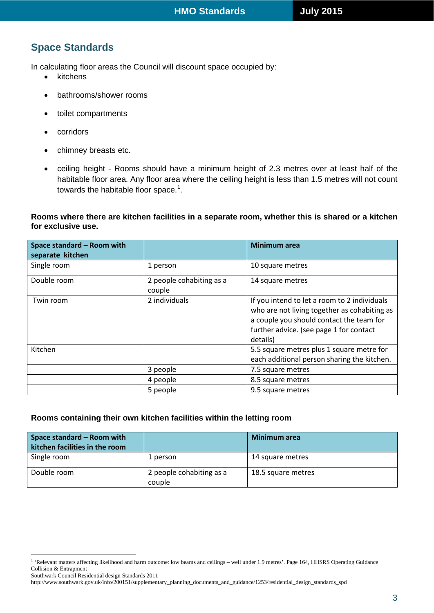# **Space Standards**

In calculating floor areas the Council will discount space occupied by:

- kitchens
- bathrooms/shower rooms
- toilet compartments
- corridors

 $\overline{a}$ 

- chimney breasts etc.
- ceiling height Rooms should have a minimum height of 2.3 metres over at least half of the habitable floor area. Any floor area where the ceiling height is less than 1.5 metres will not count towards the habitable floor space.<sup>[1](#page-2-0)</sup>.

## **Rooms where there are kitchen facilities in a separate room, whether this is shared or a kitchen for exclusive use.**

| Space standard - Room with<br>separate kitchen |                                    | <b>Minimum</b> area                                                                                                                                                                             |
|------------------------------------------------|------------------------------------|-------------------------------------------------------------------------------------------------------------------------------------------------------------------------------------------------|
| Single room                                    | 1 person                           | 10 square metres                                                                                                                                                                                |
| Double room                                    | 2 people cohabiting as a<br>couple | 14 square metres                                                                                                                                                                                |
| Twin room                                      | 2 individuals                      | If you intend to let a room to 2 individuals<br>who are not living together as cohabiting as<br>a couple you should contact the team for<br>further advice. (see page 1 for contact<br>details) |
| Kitchen                                        |                                    | 5.5 square metres plus 1 square metre for<br>each additional person sharing the kitchen.                                                                                                        |
|                                                | 3 people                           | 7.5 square metres                                                                                                                                                                               |
|                                                | 4 people                           | 8.5 square metres                                                                                                                                                                               |
|                                                | 5 people                           | 9.5 square metres                                                                                                                                                                               |

## **Rooms containing their own kitchen facilities within the letting room**

| Space standard - Room with<br>kitchen facilities in the room |                                    | Minimum area       |
|--------------------------------------------------------------|------------------------------------|--------------------|
| Single room                                                  | 1 person                           | 14 square metres   |
| Double room                                                  | 2 people cohabiting as a<br>couple | 18.5 square metres |

<span id="page-2-0"></span><sup>&</sup>lt;sup>1</sup> 'Relevant matters affecting likelihood and harm outcome: low beams and ceilings – well under 1.9 metres'. Page 164, HHSRS Operating Guidance Collision & Entrapment

Southwark Council Residential design Standards 2011 http://www.southwark.gov.uk/info/200151/supplementary\_planning\_documents\_and\_guidance/1253/residential\_design\_standards\_spd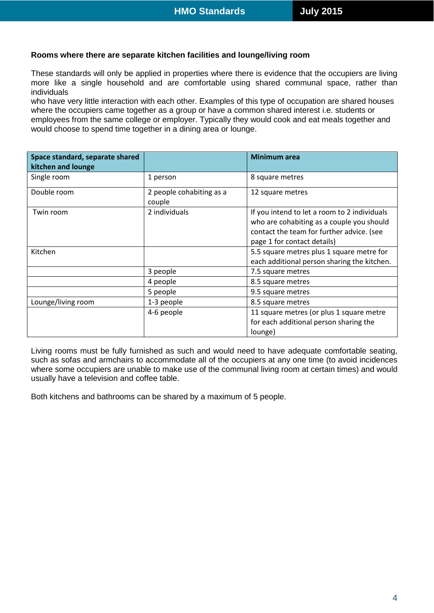#### **Rooms where there are separate kitchen facilities and lounge/living room**

These standards will only be applied in properties where there is evidence that the occupiers are living more like a single household and are comfortable using shared communal space, rather than individuals

who have very little interaction with each other. Examples of this type of occupation are shared houses where the occupiers came together as a group or have a common shared interest i.e. students or employees from the same college or employer. Typically they would cook and eat meals together and would choose to spend time together in a dining area or lounge.

| Space standard, separate shared |                                    | <b>Minimum area</b>                          |
|---------------------------------|------------------------------------|----------------------------------------------|
| kitchen and lounge              |                                    |                                              |
| Single room                     | 1 person                           | 8 square metres                              |
| Double room                     | 2 people cohabiting as a<br>couple | 12 square metres                             |
| Twin room                       | 2 individuals                      | If you intend to let a room to 2 individuals |
|                                 |                                    | who are cohabiting as a couple you should    |
|                                 |                                    | contact the team for further advice. (see    |
|                                 |                                    | page 1 for contact details)                  |
| Kitchen                         |                                    | 5.5 square metres plus 1 square metre for    |
|                                 |                                    | each additional person sharing the kitchen.  |
|                                 | 3 people                           | 7.5 square metres                            |
|                                 | 4 people                           | 8.5 square metres                            |
|                                 | 5 people                           | 9.5 square metres                            |
| Lounge/living room              | 1-3 people                         | 8.5 square metres                            |
|                                 | 4-6 people                         | 11 square metres (or plus 1 square metre     |
|                                 |                                    | for each additional person sharing the       |
|                                 |                                    | lounge)                                      |

Living rooms must be fully furnished as such and would need to have adequate comfortable seating, such as sofas and armchairs to accommodate all of the occupiers at any one time (to avoid incidences where some occupiers are unable to make use of the communal living room at certain times) and would usually have a television and coffee table.

Both kitchens and bathrooms can be shared by a maximum of 5 people.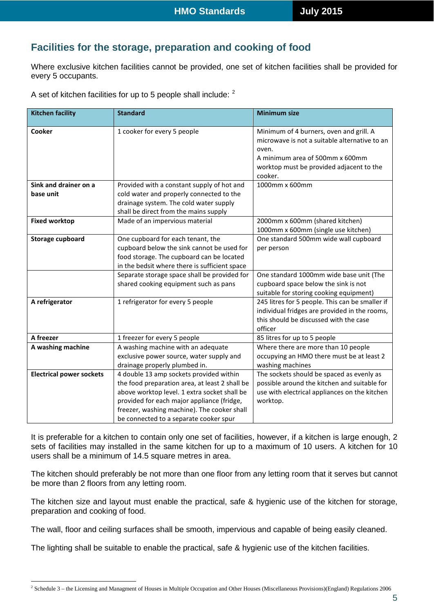## **Facilities for the storage, preparation and cooking of food**

Where exclusive kitchen facilities cannot be provided, one set of kitchen facilities shall be provided for every 5 occupants.

A set of kitchen facilities for up to 5 people shall include: <sup>[2](#page-4-0)</sup>

| <b>Kitchen facility</b>         | <b>Standard</b>                                | <b>Minimum size</b>                             |
|---------------------------------|------------------------------------------------|-------------------------------------------------|
| Cooker                          | 1 cooker for every 5 people                    | Minimum of 4 burners, oven and grill. A         |
|                                 |                                                | microwave is not a suitable alternative to an   |
|                                 |                                                | oven.                                           |
|                                 |                                                | A minimum area of 500mm x 600mm                 |
|                                 |                                                | worktop must be provided adjacent to the        |
|                                 |                                                | cooker.                                         |
| Sink and drainer on a           | Provided with a constant supply of hot and     | 1000mm x 600mm                                  |
| base unit                       | cold water and properly connected to the       |                                                 |
|                                 | drainage system. The cold water supply         |                                                 |
|                                 | shall be direct from the mains supply          |                                                 |
| <b>Fixed worktop</b>            | Made of an impervious material                 | 2000mm x 600mm (shared kitchen)                 |
|                                 |                                                | 1000mm x 600mm (single use kitchen)             |
| <b>Storage cupboard</b>         | One cupboard for each tenant, the              | One standard 500mm wide wall cupboard           |
|                                 | cupboard below the sink cannot be used for     | per person                                      |
|                                 | food storage. The cupboard can be located      |                                                 |
|                                 | in the bedsit where there is sufficient space  |                                                 |
|                                 | Separate storage space shall be provided for   | One standard 1000mm wide base unit (The         |
|                                 | shared cooking equipment such as pans          | cupboard space below the sink is not            |
|                                 |                                                | suitable for storing cooking equipment)         |
| A refrigerator                  | 1 refrigerator for every 5 people              | 245 litres for 5 people. This can be smaller if |
|                                 |                                                | individual fridges are provided in the rooms,   |
|                                 |                                                | this should be discussed with the case          |
|                                 |                                                | officer                                         |
| A freezer                       | 1 freezer for every 5 people                   | 85 litres for up to 5 people                    |
| A washing machine               | A washing machine with an adequate             | Where there are more than 10 people             |
|                                 | exclusive power source, water supply and       | occupying an HMO there must be at least 2       |
|                                 | drainage properly plumbed in.                  | washing machines                                |
| <b>Electrical power sockets</b> | 4 double 13 amp sockets provided within        | The sockets should be spaced as evenly as       |
|                                 | the food preparation area, at least 2 shall be | possible around the kitchen and suitable for    |
|                                 | above worktop level. 1 extra socket shall be   | use with electrical appliances on the kitchen   |
|                                 | provided for each major appliance (fridge,     | worktop.                                        |
|                                 | freezer, washing machine). The cooker shall    |                                                 |
|                                 | be connected to a separate cooker spur         |                                                 |

It is preferable for a kitchen to contain only one set of facilities, however, if a kitchen is large enough, 2 sets of facilities may installed in the same kitchen for up to a maximum of 10 users. A kitchen for 10 users shall be a minimum of 14.5 square metres in area.

The kitchen should preferably be not more than one floor from any letting room that it serves but cannot be more than 2 floors from any letting room.

The kitchen size and layout must enable the practical, safe & hygienic use of the kitchen for storage, preparation and cooking of food.

The wall, floor and ceiling surfaces shall be smooth, impervious and capable of being easily cleaned.

The lighting shall be suitable to enable the practical, safe & hygienic use of the kitchen facilities.

<span id="page-4-0"></span><sup>&</sup>lt;sup>2</sup> Schedule 3 – the Licensing and Managment of Houses in Multiple Occupation and Other Houses (Miscellaneous Provisions)(England) Regulations 2006  $\overline{a}$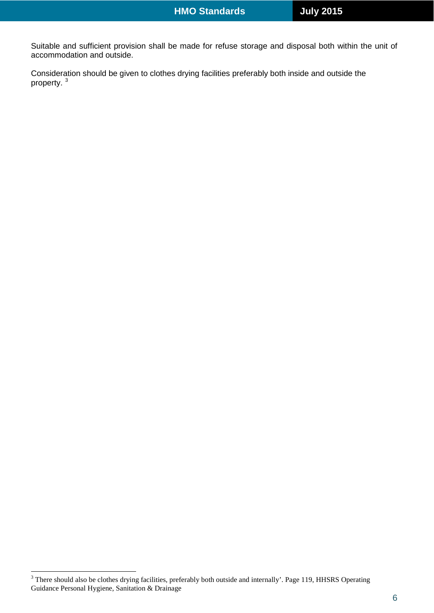Suitable and sufficient provision shall be made for refuse storage and disposal both within the unit of accommodation and outside.

Consideration should be given to clothes drying facilities preferably both inside and outside the property. [3](#page-5-0)

<span id="page-5-0"></span> $3$  There should also be clothes drying facilities, preferably both outside and internally'. Page 119, HHSRS Operating Guidance Personal Hygiene, Sanitation & Drainage  $\overline{a}$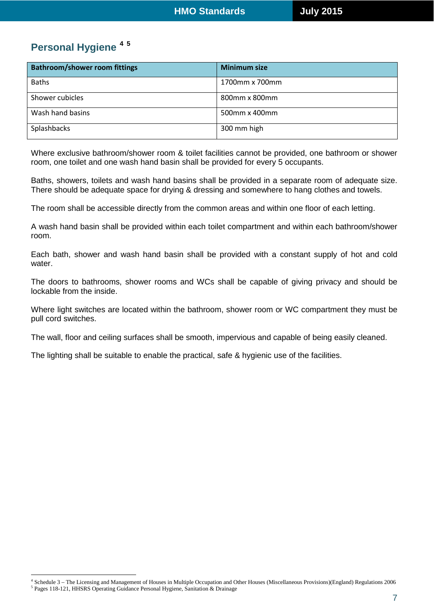# **Personal Hygiene [4](#page-6-0) [5](#page-6-1)**

 $\overline{a}$ 

| <b>Bathroom/shower room fittings</b> | <b>Minimum size</b> |
|--------------------------------------|---------------------|
| <b>Baths</b>                         | 1700mm x 700mm      |
| Shower cubicles                      | 800mm x 800mm       |
| Wash hand basins                     | 500mm x 400mm       |
| Splashbacks                          | 300 mm high         |

Where exclusive bathroom/shower room & toilet facilities cannot be provided, one bathroom or shower room, one toilet and one wash hand basin shall be provided for every 5 occupants.

Baths, showers, toilets and wash hand basins shall be provided in a separate room of adequate size. There should be adequate space for drying & dressing and somewhere to hang clothes and towels.

The room shall be accessible directly from the common areas and within one floor of each letting.

A wash hand basin shall be provided within each toilet compartment and within each bathroom/shower room.

Each bath, shower and wash hand basin shall be provided with a constant supply of hot and cold water.

The doors to bathrooms, shower rooms and WCs shall be capable of giving privacy and should be lockable from the inside.

Where light switches are located within the bathroom, shower room or WC compartment they must be pull cord switches.

The wall, floor and ceiling surfaces shall be smooth, impervious and capable of being easily cleaned.

The lighting shall be suitable to enable the practical, safe & hygienic use of the facilities.

<span id="page-6-1"></span><span id="page-6-0"></span><sup>4</sup> Schedule 3 – The Licensing and Management of Houses in Multiple Occupation and Other Houses (Miscellaneous Provisions)(England) Regulations 2006 <sup>5</sup> Pages 118-121, HHSRS Operating Guidance Personal Hygiene, Sanitation & Drainage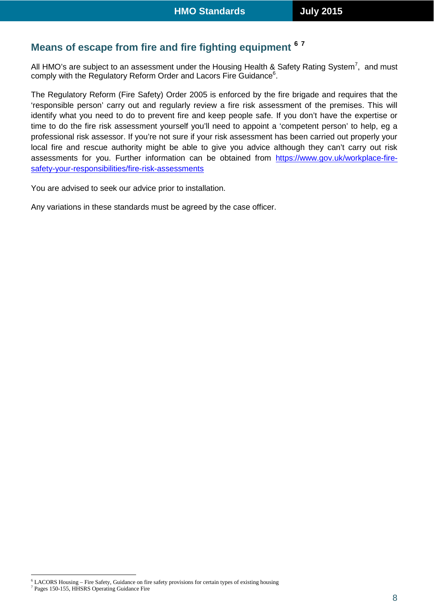# **Means of escape from fire and fire fighting equipment [6](#page-7-0) [7](#page-7-1)**

All HMO's are subject to an assessment under the Housing Health & Safety Rating System<sup>7</sup>, and must comply with the Regulatory Reform Order and Lacors Fire Guidance $^6$ .

The Regulatory Reform (Fire Safety) Order 2005 is enforced by the fire brigade and requires that the 'responsible person' carry out and regularly review a fire risk assessment of the premises. This will identify what you need to do to prevent fire and keep people safe. If you don't have the expertise or time to do the fire risk assessment yourself you'll need to appoint a 'competent person' to help, eg a professional risk assessor. If you're not sure if your risk assessment has been carried out properly your local fire and rescue authority might be able to give you advice although they can't carry out risk assessments for you. Further information can be obtained from [https://www.gov.uk/workplace-fire](https://www.gov.uk/workplace-fire-safety-your-responsibilities/fire-risk-assessments)[safety-your-responsibilities/fire-risk-assessments](https://www.gov.uk/workplace-fire-safety-your-responsibilities/fire-risk-assessments)

You are advised to seek our advice prior to installation.

Any variations in these standards must be agreed by the case officer.

<sup>6</sup> LACORS Housing – Fire Safety, Guidance on fire safety provisions for certain types of existing housing  $\overline{a}$ 

<span id="page-7-1"></span><span id="page-7-0"></span><sup>7</sup> Pages 150-155, HHSRS Operating Guidance Fire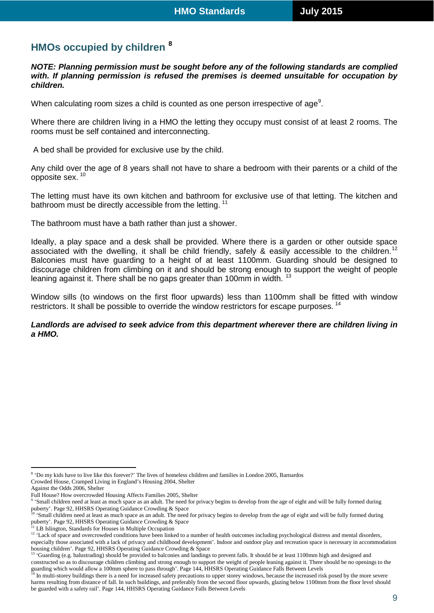# **HMOs occupied by children [8](#page-8-0)**

*NOTE: Planning permission must be sought before any of the following standards are complied with. If planning permission is refused the premises is deemed unsuitable for occupation by children.*

When calculating room sizes a child is counted as one person irrespective of age $^{\circ}$ .

Where there are children living in a HMO the letting they occupy must consist of at least 2 rooms. The rooms must be self contained and interconnecting.

A bed shall be provided for exclusive use by the child.

Any child over the age of 8 years shall not have to share a bedroom with their parents or a child of the opposite sex. [10](#page-8-2)

The letting must have its own kitchen and bathroom for exclusive use of that letting. The kitchen and bathroom must be directly accessible from the letting.<sup>[11](#page-8-3)</sup>

The bathroom must have a bath rather than just a shower.

Ideally, a play space and a desk shall be provided. Where there is a garden or other outside space associated with the dwelling, it shall be child friendly, safely & easily accessible to the children.<sup>[12](#page-8-4)</sup> Balconies must have guarding to a height of at least 1100mm. Guarding should be designed to discourage children from climbing on it and should be strong enough to support the weight of people leaning against it. There shall be no gaps greater than 100mm in width. <sup>[13](#page-8-5)</sup>

Window sills (to windows on the first floor upwards) less than 1100mm shall be fitted with window restrictors. It shall be possible to override the window restrictors for escape purposes.<sup>[14](#page-8-6)</sup>

#### *Landlords are advised to seek advice from this department wherever there are children living in a HMO.*

<span id="page-8-0"></span><sup>8</sup> 'Do my kids have to live like this forever?' The lives of homeless children and families in London 2005, Barnardos Crowded House, Cramped Living in England's Housing 2004, Shelter  $\overline{a}$ 

Against the Odds 2006, Shelter

Full House? How overcrowded Housing Affects Families 2005, Shelter

<span id="page-8-1"></span><sup>&#</sup>x27;Small children need at least as much space as an adult. The need for privacy begins to develop from the age of eight and will be fully formed during puberty'. Page 92, HHSRS Operating Guidance Crowding & Space

<span id="page-8-2"></span><sup>10</sup> 'Small children need at least as much space as an adult. The need for privacy begins to develop from the age of eight and will be fully formed during puberty'. Page 92, HHSRS Operating Guidance Crowding & Space

LB Islington, Standards for Houses in Multiple Occupation

<span id="page-8-4"></span><span id="page-8-3"></span><sup>&</sup>lt;sup>12</sup> 'Lack of space and overcrowded conditions have been linked to a number of health outcomes including psychological distress and mental disorders, especially those associated with a lack of privacy and childhood development'. Indoor and outdoor play and recreation space is necessary in accommodation housing children'. Page 92, HHSRS Operating Guidance Crowding & Space

<span id="page-8-5"></span><sup>&</sup>lt;sup>13</sup> 'Guarding (e.g. balustrading) should be provided to balconies and landings to prevent falls. It should be at least 1100mm high and designed and constructed so as to discourage children climbing and strong enough to support the weight of people leaning against it. There should be no openings to the guarding which would allow a 100mm sphere to pass through'. Page 144, HHSRS Operating Guidance Falls Between Levels

<span id="page-8-6"></span>In multi-storey buildings there is a need for increased safety precautions to upper storey windows, because the increased risk posed by the more severe harms resulting from distance of fall. In such buildings, and preferably from the second floor upwards, glazing below 1100mm from the floor level should be guarded with a safety rail'. Page 144, HHSRS Operating Guidance Falls Between Levels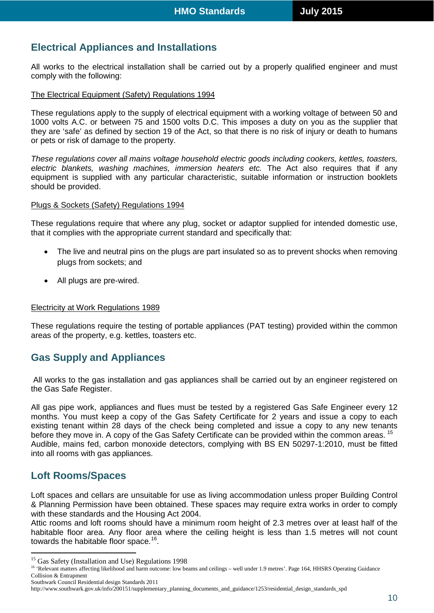# **Electrical Appliances and Installations**

All works to the electrical installation shall be carried out by a properly qualified engineer and must comply with the following:

#### The Electrical Equipment (Safety) Regulations 1994

These regulations apply to the supply of electrical equipment with a working voltage of between 50 and 1000 volts A.C. or between 75 and 1500 volts D.C. This imposes a duty on you as the supplier that they are 'safe' as defined by section 19 of the Act, so that there is no risk of injury or death to humans or pets or risk of damage to the property.

*These regulations cover all mains voltage household electric goods including cookers, kettles, toasters, electric blankets, washing machines, immersion heaters etc.* The Act also requires that if any equipment is supplied with any particular characteristic, suitable information or instruction booklets should be provided.

## Plugs & Sockets (Safety) Regulations 1994

These regulations require that where any plug, socket or adaptor supplied for intended domestic use, that it complies with the appropriate current standard and specifically that:

- The live and neutral pins on the plugs are part insulated so as to prevent shocks when removing plugs from sockets; and
- All plugs are pre-wired.

#### Electricity at Work Regulations 1989

These regulations require the testing of portable appliances (PAT testing) provided within the common areas of the property, e.g. kettles, toasters etc.

## **Gas Supply and Appliances**

All works to the gas installation and gas appliances shall be carried out by an engineer registered on the Gas Safe Register.

All gas pipe work, appliances and flues must be tested by a registered Gas Safe Engineer every 12 months. You must keep a copy of the Gas Safety Certificate for 2 years and issue a copy to each existing tenant within 28 days of the check being completed and issue a copy to any new tenants before they move in. A copy of the Gas Safety Certificate can be provided within the common areas. <sup>[15](#page-9-0)</sup> Audible, mains fed, carbon monoxide detectors, complying with BS EN 50297-1:2010, must be fitted into all rooms with gas appliances.

## **Loft Rooms/Spaces**

 $\overline{a}$ 

Loft spaces and cellars are unsuitable for use as living accommodation unless proper Building Control & Planning Permission have been obtained. These spaces may require extra works in order to comply with these standards and the Housing Act 2004.

Attic rooms and loft rooms should have a minimum room height of 2.3 metres over at least half of the habitable floor area. Any floor area where the ceiling height is less than 1.5 metres will not count towards the habitable floor space.<sup>[16](#page-9-1)</sup>.

Southwark Council Residential design Standards 2011

<span id="page-9-0"></span><sup>&</sup>lt;sup>15</sup> Gas Safety (Installation and Use) Regulations 1998

<span id="page-9-1"></span><sup>&</sup>lt;sup>16</sup> 'Relevant matters affecting likelihood and harm outcome: low beams and ceilings – well under 1.9 metres'. Page 164, HHSRS Operating Guidance Collision & Entrapment

http://www.southwark.gov.uk/info/200151/supplementary\_planning\_documents\_and\_guidance/1253/residential\_design\_standards\_spd